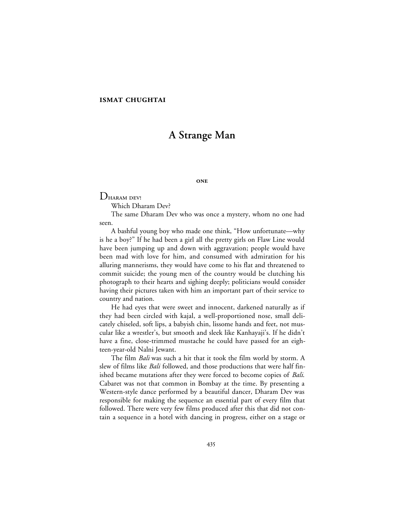## **ISMAT CHUGHTAI**

# **A Strange Man**

#### **ONE**

# DHARAM DEV!

Which Dharam Dev?

The same Dharam Dev who was once a mystery, whom no one had seen.

A bashful young boy who made one think, "How unfortunate—why is he a boy?" If he had been a girl all the pretty girls on Flaw Line would have been jumping up and down with aggravation; people would have been mad with love for him, and consumed with admiration for his alluring mannerisms, they would have come to his flat and threatened to commit suicide; the young men of the country would be clutching his photograph to their hearts and sighing deeply; politicians would consider having their pictures taken with him an important part of their service to country and nation.

He had eyes that were sweet and innocent, darkened naturally as if they had been circled with kajal, a well-proportioned nose, small delicately chiseled, soft lips, a babyish chin, lissome hands and feet, not muscular like a wrestler's, but smooth and sleek like Kanhayaji's. If he didn't have a fine, close-trimmed mustache he could have passed for an eighteen-year-old Nalni Jewant.

The film *Bali* was such a hit that it took the film world by storm. A slew of films like *Bali* followed, and those productions that were half finished became mutations after they were forced to become copies of *Bali*. Cabaret was not that common in Bombay at the time. By presenting a Western-style dance performed by a beautiful dancer, Dharam Dev was responsible for making the sequence an essential part of every film that followed. There were very few films produced after this that did not contain a sequence in a hotel with dancing in progress, either on a stage or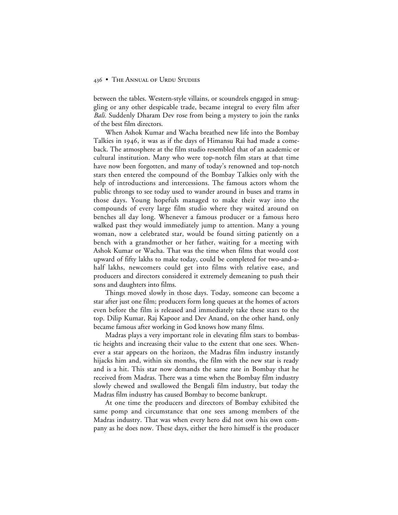between the tables. Western-style villains, or scoundrels engaged in smuggling or any other despicable trade, became integral to every film after *Bali.* Suddenly Dharam Dev rose from being a mystery to join the ranks of the best film directors.

When Ashok Kumar and Wacha breathed new life into the Bombay Talkies in 1946, it was as if the days of Himansu Rai had made a comeback. The atmosphere at the film studio resembled that of an academic or cultural institution. Many who were top-notch film stars at that time have now been forgotten, and many of today's renowned and top-notch stars then entered the compound of the Bombay Talkies only with the help of introductions and intercessions. The famous actors whom the public throngs to see today used to wander around in buses and trams in those days. Young hopefuls managed to make their way into the compounds of every large film studio where they waited around on benches all day long. Whenever a famous producer or a famous hero walked past they would immediately jump to attention. Many a young woman, now a celebrated star, would be found sitting patiently on a bench with a grandmother or her father, waiting for a meeting with Ashok Kumar or Wacha. That was the time when films that would cost upward of fifty lakhs to make today, could be completed for two-and-ahalf lakhs, newcomers could get into films with relative ease, and producers and directors considered it extremely demeaning to push their sons and daughters into films.

Things moved slowly in those days. Today, someone can become a star after just one film; producers form long queues at the homes of actors even before the film is released and immediately take these stars to the top. Dilip Kumar, Raj Kapoor and Dev Anand, on the other hand, only became famous after working in God knows how many films.

Madras plays a very important role in elevating film stars to bombastic heights and increasing their value to the extent that one sees. Whenever a star appears on the horizon, the Madras film industry instantly hijacks him and, within six months, the film with the new star is ready and is a hit. This star now demands the same rate in Bombay that he received from Madras. There was a time when the Bombay film industry slowly chewed and swallowed the Bengali film industry, but today the Madras film industry has caused Bombay to become bankrupt.

At one time the producers and directors of Bombay exhibited the same pomp and circumstance that one sees among members of the Madras industry. That was when every hero did not own his own company as he does now. These days, either the hero himself is the producer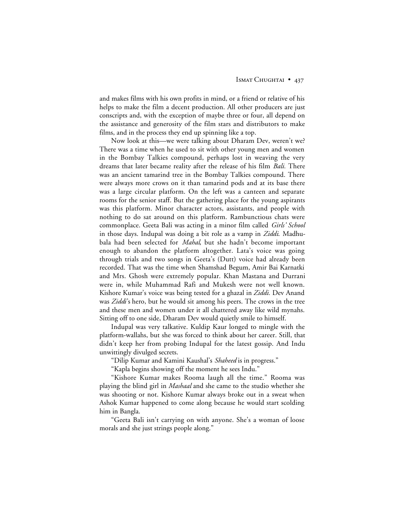and makes films with his own profits in mind, or a friend or relative of his helps to make the film a decent production. All other producers are just conscripts and, with the exception of maybe three or four, all depend on the assistance and generosity of the film stars and distributors to make films, and in the process they end up spinning like a top.

Now look at this—we were talking about Dharam Dev, weren't we? There was a time when he used to sit with other young men and women in the Bombay Talkies compound, perhaps lost in weaving the very dreams that later became reality after the release of his film *Bali.* There was an ancient tamarind tree in the Bombay Talkies compound. There were always more crows on it than tamarind pods and at its base there was a large circular platform. On the left was a canteen and separate rooms for the senior staff. But the gathering place for the young aspirants was this platform. Minor character actors, assistants, and people with nothing to do sat around on this platform. Rambunctious chats were commonplace. Geeta Bali was acting in a minor film called *Girls' School* in those days. Indupal was doing a bit role as a vamp in *Ziddi*. Madhubala had been selected for *Mahal*, but she hadn't become important enough to abandon the platform altogether. Lata's voice was going through trials and two songs in Geeta's (Dutt) voice had already been recorded. That was the time when Shamshad Begum, Amir Bai Karnatki and Mrs. Ghosh were extremely popular. Khan Mastana and Durrani were in, while Muhammad Rafi and Mukesh were not well known. Kishore Kumar's voice was being tested for a ghazal in *Ziddi.* Dev Anand was *Ziddi*'s hero, but he would sit among his peers. The crows in the tree and these men and women under it all chattered away like wild mynahs. Sitting off to one side, Dharam Dev would quietly smile to himself.

Indupal was very talkative. Kuldip Kaur longed to mingle with the platform-wallahs, but she was forced to think about her career. Still, that didn't keep her from probing Indupal for the latest gossip. And Indu unwittingly divulged secrets.

"Dilip Kumar and Kamini Kaushal's *Shaheed* is in progress."

"Kapla begins showing off the moment he sees Indu."

"Kishore Kumar makes Rooma laugh all the time." Rooma was playing the blind girl in *Mashaal* and she came to the studio whether she was shooting or not. Kishore Kumar always broke out in a sweat when Ashok Kumar happened to come along because he would start scolding him in Bangla.

"Geeta Bali isn't carrying on with anyone. She's a woman of loose morals and she just strings people along."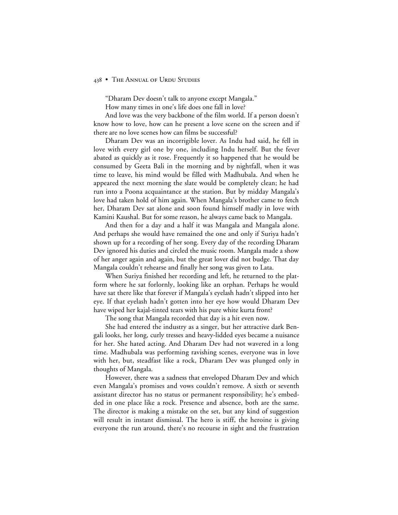"Dharam Dev doesn't talk to anyone except Mangala."

How many times in one's life does one fall in love?

And love was the very backbone of the film world. If a person doesn't know how to love, how can he present a love scene on the screen and if there are no love scenes how can films be successful?

Dharam Dev was an incorrigible lover. As Indu had said, he fell in love with every girl one by one, including Indu herself. But the fever abated as quickly as it rose. Frequently it so happened that he would be consumed by Geeta Bali in the morning and by nightfall, when it was time to leave, his mind would be filled with Madhubala. And when he appeared the next morning the slate would be completely clean; he had run into a Poona acquaintance at the station. But by midday Mangala's love had taken hold of him again. When Mangala's brother came to fetch her, Dharam Dev sat alone and soon found himself madly in love with Kamini Kaushal. But for some reason, he always came back to Mangala.

And then for a day and a half it was Mangala and Mangala alone. And perhaps she would have remained the one and only if Suriya hadn't shown up for a recording of her song. Every day of the recording Dharam Dev ignored his duties and circled the music room. Mangala made a show of her anger again and again, but the great lover did not budge. That day Mangala couldn't rehearse and finally her song was given to Lata.

When Suriya finished her recording and left, he returned to the platform where he sat forlornly, looking like an orphan. Perhaps he would have sat there like that forever if Mangala's eyelash hadn't slipped into her eye. If that eyelash hadn't gotten into her eye how would Dharam Dev have wiped her kajal-tinted tears with his pure white kurta front?

The song that Mangala recorded that day is a hit even now.

She had entered the industry as a singer, but her attractive dark Bengali looks, her long, curly tresses and heavy-lidded eyes became a nuisance for her. She hated acting. And Dharam Dev had not wavered in a long time. Madhubala was performing ravishing scenes, everyone was in love with her, but, steadfast like a rock, Dharam Dev was plunged only in thoughts of Mangala.

However, there was a sadness that enveloped Dharam Dev and which even Mangala's promises and vows couldn't remove. A sixth or seventh assistant director has no status or permanent responsibility; he's embedded in one place like a rock. Presence and absence, both are the same. The director is making a mistake on the set, but any kind of suggestion will result in instant dismissal. The hero is stiff, the heroine is giving everyone the run around, there's no recourse in sight and the frustration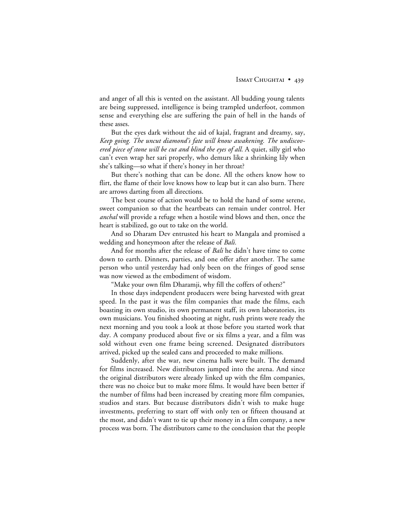and anger of all this is vented on the assistant. All budding young talents are being suppressed, intelligence is being trampled underfoot, common sense and everything else are suffering the pain of hell in the hands of these asses.

But the eyes dark without the aid of kajal, fragrant and dreamy, say, *Keep going. The uncut diamond's fate will know awakening. The undiscovered piece of stone will be cut and blind the eyes of all.* A quiet, silly girl who can't even wrap her sari properly, who demurs like a shrinking lily when she's talking—so what if there's honey in her throat?

But there's nothing that can be done. All the others know how to flirt, the flame of their love knows how to leap but it can also burn. There are arrows darting from all directions.

The best course of action would be to hold the hand of some serene, sweet companion so that the heartbeats can remain under control. Her *anchal* will provide a refuge when a hostile wind blows and then, once the heart is stabilized, go out to take on the world.

And so Dharam Dev entrusted his heart to Mangala and promised a wedding and honeymoon after the release of *Bali.*

And for months after the release of *Bali* he didn't have time to come down to earth. Dinners, parties, and one offer after another. The same person who until yesterday had only been on the fringes of good sense was now viewed as the embodiment of wisdom.

"Make your own film Dharamji, why fill the coffers of others?"

In those days independent producers were being harvested with great speed. In the past it was the film companies that made the films, each boasting its own studio, its own permanent staff, its own laboratories, its own musicians. You finished shooting at night, rush prints were ready the next morning and you took a look at those before you started work that day. A company produced about five or six films a year, and a film was sold without even one frame being screened. Designated distributors arrived, picked up the sealed cans and proceeded to make millions.

Suddenly, after the war, new cinema halls were built. The demand for films increased. New distributors jumped into the arena. And since the original distributors were already linked up with the film companies, there was no choice but to make more films. It would have been better if the number of films had been increased by creating more film companies, studios and stars. But because distributors didn't wish to make huge investments, preferring to start off with only ten or fifteen thousand at the most, and didn't want to tie up their money in a film company, a new process was born. The distributors came to the conclusion that the people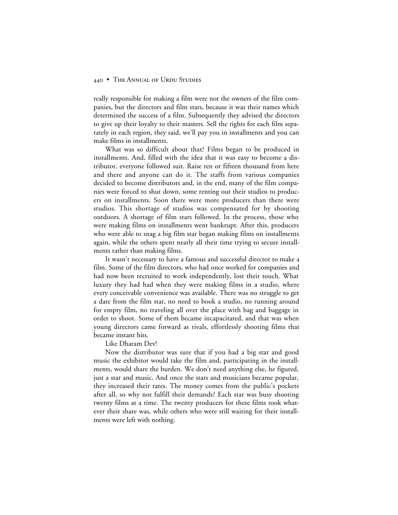really responsible for making a film were not the owners of the film companies, but the directors and film stars, because it was their names which determined the success of a film. Subsequently they advised the directors to give up their loyalty to their masters. Sell the rights for each film separately in each region, they said, we'll pay you in installments and you can make films in installments.

What was so difficult about that? Films began to be produced in installments. And, filled with the idea that it was easy to become a distributor, everyone followed suit. Raise ten or fifteen thousand from here and there and anyone can do it. The staffs from various companies decided to become distributors and, in the end, many of the film companies were forced to shut down, some renting out their studios to producers on installments. Soon there were more producers than there were studios. This shortage of studios was compensated for by shooting outdoors. A shortage of film stars followed. In the process, those who were making films on installments went bankrupt. After this, producers who were able to snag a big film star began making films on installments again, while the others spent nearly all their time trying to secure installments rather than making films.

It wasn't necessary to have a famous and successful director to make a film. Some of the film directors, who had once worked for companies and had now been recruited to work independently, lost their touch. What luxury they had had when they were making films in a studio, where every conceivable convenience was available. There was no struggle to get a date from the film star, no need to book a studio, no running around for empty film, no traveling all over the place with bag and baggage in order to shoot. Some of them became incapacitated, and that was when young directors came forward as rivals, effortlessly shooting films that became instant hits.

#### Like Dharam Dev!

Now the distributor was sure that if you had a big star and good music the exhibitor would take the film and, participating in the installments, would share the burden. We don't need anything else, he figured, just a star and music. And once the stars and musicians became popular, they increased their rates. The money comes from the public's pockets after all, so why not fulfill their demands? Each star was busy shooting twenty films at a time. The twenty producers for these films took whatever their share was, while others who were still waiting for their installments were left with nothing.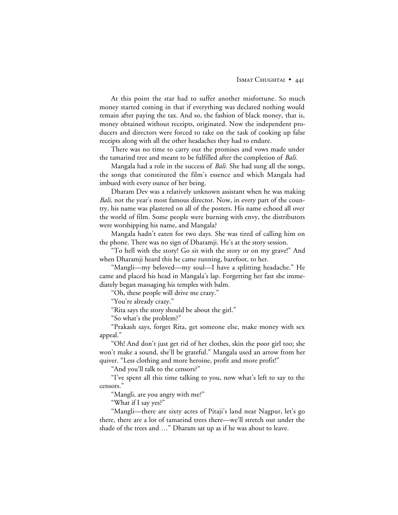At this point the star had to suffer another misfortune. So much money started coming in that if everything was declared nothing would remain after paying the tax. And so, the fashion of black money, that is, money obtained without receipts, originated. Now the independent producers and directors were forced to take on the task of cooking up false receipts along with all the other headaches they had to endure.

There was no time to carry out the promises and vows made under the tamarind tree and meant to be fulfilled after the completion of *Bali.*

Mangala had a role in the success of *Bali.* She had sung all the songs, the songs that constituted the film's essence and which Mangala had imbued with every ounce of her being.

Dharam Dev was a relatively unknown assistant when he was making *Bali*, not the year's most famous director. Now, in every part of the country, his name was plastered on all of the posters. His name echoed all over the world of film. Some people were burning with envy, the distributors were worshipping his name, and Mangala?

Mangala hadn't eaten for two days. She was tired of calling him on the phone. There was no sign of Dharamji. He's at the story session.

"To hell with the story! Go sit with the story or on my grave!" And when Dharamji heard this he came running, barefoot, to her.

"Mangli—my beloved—my soul—I have a splitting headache." He came and placed his head in Mangala's lap. Forgetting her fast she immediately began massaging his temples with balm.

"Oh, these people will drive me crazy."

"You're already crazy."

"Rita says the story should be about the girl."

"So what's the problem?"

"Prakash says, forget Rita, get someone else, make money with sex appeal."

"Oh! And don't just get rid of her clothes, skin the poor girl too; she won't make a sound, she'll be grateful." Mangala used an arrow from her quiver. "Less clothing and more heroine, profit and more profit!"

"And you'll talk to the censors?"

"I've spent all this time talking to you, now what's left to say to the censors."

"Mangli, are you angry with me?"

"What if I say yes?"

"Mangli—there are sixty acres of Pitaji's land near Nagpur, let's go there, there are a lot of tamarind trees there—we'll stretch out under the shade of the trees and …" Dharam sat up as if he was about to leave.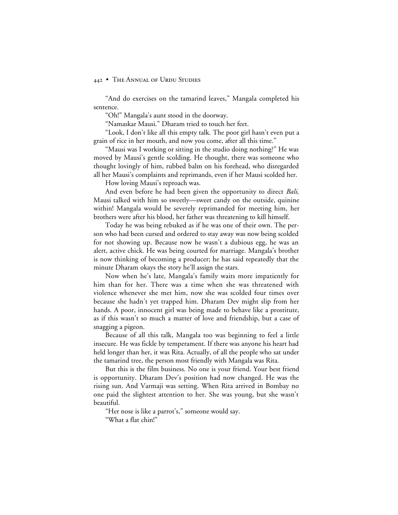"And do exercises on the tamarind leaves," Mangala completed his sentence.

"Oh!" Mangala's aunt stood in the doorway.

"Namaskar Mausi." Dharam tried to touch her feet.

"Look, I don't like all this empty talk. The poor girl hasn't even put a grain of rice in her mouth, and now you come, after all this time."

"Mausi was I working or sitting in the studio doing nothing?" He was moved by Mausi's gentle scolding. He thought, there was someone who thought lovingly of him, rubbed balm on his forehead, who disregarded all her Mausi's complaints and reprimands, even if her Mausi scolded her.

How loving Mausi's reproach was.

And even before he had been given the opportunity to direct *Bali*, Mausi talked with him so sweetly—sweet candy on the outside, quinine within! Mangala would be severely reprimanded for meeting him, her brothers were after his blood, her father was threatening to kill himself.

Today he was being rebuked as if he was one of their own. The person who had been cursed and ordered to stay away was now being scolded for not showing up. Because now he wasn't a dubious egg, he was an alert, active chick. He was being courted for marriage. Mangala's brother is now thinking of becoming a producer; he has said repeatedly that the minute Dharam okays the story he'll assign the stars.

Now when he's late, Mangala's family waits more impatiently for him than for her. There was a time when she was threatened with violence whenever she met him, now she was scolded four times over because she hadn't yet trapped him. Dharam Dev might slip from her hands. A poor, innocent girl was being made to behave like a prostitute, as if this wasn't so much a matter of love and friendship, but a case of snagging a pigeon.

Because of all this talk, Mangala too was beginning to feel a little insecure. He was fickle by temperament. If there was anyone his heart had held longer than her, it was Rita. Actually, of all the people who sat under the tamarind tree, the person most friendly with Mangala was Rita.

But this is the film business. No one is your friend. Your best friend is opportunity. Dharam Dev's position had now changed. He was the rising sun. And Varmaji was setting. When Rita arrived in Bombay no one paid the slightest attention to her. She was young, but she wasn't beautiful.

"Her nose is like a parrot's," someone would say.

"What a flat chin!"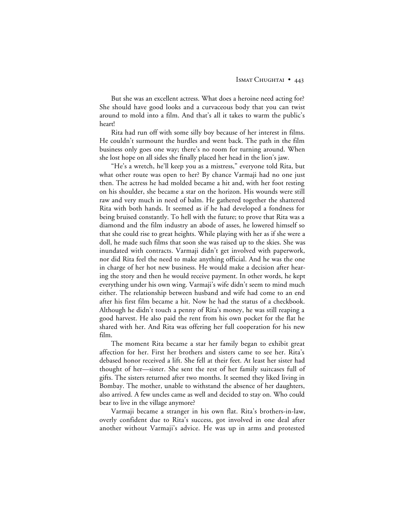But she was an excellent actress. What does a heroine need acting for? She should have good looks and a curvaceous body that you can twist around to mold into a film. And that's all it takes to warm the public's heart!

Rita had run off with some silly boy because of her interest in films. He couldn't surmount the hurdles and went back. The path in the film business only goes one way; there's no room for turning around. When she lost hope on all sides she finally placed her head in the lion's jaw.

"He's a wretch, he'll keep you as a mistress," everyone told Rita, but what other route was open to her? By chance Varmaji had no one just then. The actress he had molded became a hit and, with her foot resting on his shoulder, she became a star on the horizon. His wounds were still raw and very much in need of balm. He gathered together the shattered Rita with both hands. It seemed as if he had developed a fondness for being bruised constantly. To hell with the future; to prove that Rita was a diamond and the film industry an abode of asses, he lowered himself so that she could rise to great heights. While playing with her as if she were a doll, he made such films that soon she was raised up to the skies. She was inundated with contracts. Varmaji didn't get involved with paperwork, nor did Rita feel the need to make anything official. And he was the one in charge of her hot new business. He would make a decision after hearing the story and then he would receive payment. In other words, he kept everything under his own wing. Varmaji's wife didn't seem to mind much either. The relationship between husband and wife had come to an end after his first film became a hit. Now he had the status of a checkbook. Although he didn't touch a penny of Rita's money, he was still reaping a good harvest. He also paid the rent from his own pocket for the flat he shared with her. And Rita was offering her full cooperation for his new film.

The moment Rita became a star her family began to exhibit great affection for her. First her brothers and sisters came to see her. Rita's debased honor received a lift. She fell at their feet. At least her sister had thought of her—sister. She sent the rest of her family suitcases full of gifts. The sisters returned after two months. It seemed they liked living in Bombay. The mother, unable to withstand the absence of her daughters, also arrived. A few uncles came as well and decided to stay on. Who could bear to live in the village anymore?

Varmaji became a stranger in his own flat. Rita's brothers-in-law, overly confident due to Rita's success, got involved in one deal after another without Varmaji's advice. He was up in arms and protested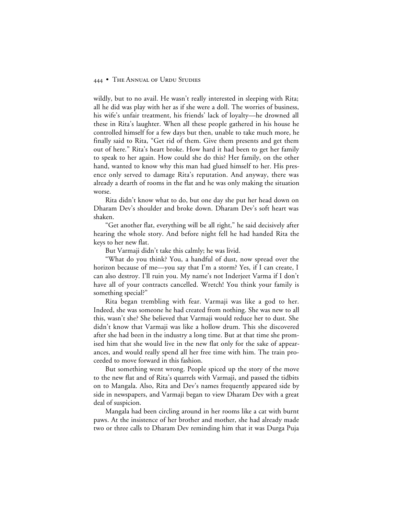wildly, but to no avail. He wasn't really interested in sleeping with Rita; all he did was play with her as if she were a doll. The worries of business, his wife's unfair treatment, his friends' lack of loyalty—he drowned all these in Rita's laughter. When all these people gathered in his house he controlled himself for a few days but then, unable to take much more, he finally said to Rita, "Get rid of them. Give them presents and get them out of here." Rita's heart broke. How hard it had been to get her family to speak to her again. How could she do this? Her family, on the other hand, wanted to know why this man had glued himself to her. His presence only served to damage Rita's reputation. And anyway, there was already a dearth of rooms in the flat and he was only making the situation worse.

Rita didn't know what to do, but one day she put her head down on Dharam Dev's shoulder and broke down. Dharam Dev's soft heart was shaken.

"Get another flat, everything will be all right," he said decisively after hearing the whole story. And before night fell he had handed Rita the keys to her new flat.

But Varmaji didn't take this calmly; he was livid.

"What do you think? You, a handful of dust, now spread over the horizon because of me—you say that I'm a storm? Yes, if I can create, I can also destroy. I'll ruin you. My name's not Inderjeet Varma if I don't have all of your contracts cancelled. Wretch! You think your family is something special?"

Rita began trembling with fear. Varmaji was like a god to her. Indeed, she was someone he had created from nothing. She was new to all this, wasn't she? She believed that Varmaji would reduce her to dust. She didn't know that Varmaji was like a hollow drum. This she discovered after she had been in the industry a long time. But at that time she promised him that she would live in the new flat only for the sake of appearances, and would really spend all her free time with him. The train proceeded to move forward in this fashion.

But something went wrong. People spiced up the story of the move to the new flat and of Rita's quarrels with Varmaji, and passed the tidbits on to Mangala. Also, Rita and Dev's names frequently appeared side by side in newspapers, and Varmaji began to view Dharam Dev with a great deal of suspicion.

Mangala had been circling around in her rooms like a cat with burnt paws. At the insistence of her brother and mother, she had already made two or three calls to Dharam Dev reminding him that it was Durga Puja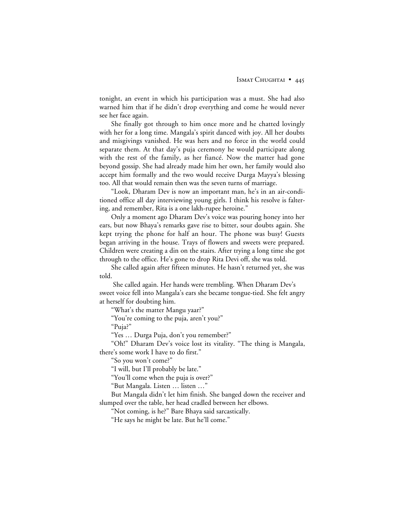tonight, an event in which his participation was a must. She had also warned him that if he didn't drop everything and come he would never see her face again.

She finally got through to him once more and he chatted lovingly with her for a long time. Mangala's spirit danced with joy. All her doubts and misgivings vanished. He was hers and no force in the world could separate them. At that day's puja ceremony he would participate along with the rest of the family, as her fiancé. Now the matter had gone beyond gossip. She had already made him her own, her family would also accept him formally and the two would receive Durga Mayya's blessing too. All that would remain then was the seven turns of marriage.

"Look, Dharam Dev is now an important man, he's in an air-conditioned office all day interviewing young girls. I think his resolve is faltering, and remember, Rita is a one lakh-rupee heroine."

Only a moment ago Dharam Dev's voice was pouring honey into her ears, but now Bhaya's remarks gave rise to bitter, sour doubts again. She kept trying the phone for half an hour. The phone was busy! Guests began arriving in the house. Trays of flowers and sweets were prepared. Children were creating a din on the stairs. After trying a long time she got through to the office. He's gone to drop Rita Devi off, she was told.

She called again after fifteen minutes. He hasn't returned yet, she was told.

 She called again. Her hands were trembling. When Dharam Dev's sweet voice fell into Mangala's ears she became tongue-tied. She felt angry at herself for doubting him.

"What's the matter Mangu yaar?"

"You're coming to the puja, aren't you?"

"Puja?"

"Yes … Durga Puja, don't you remember?"

"Oh!" Dharam Dev's voice lost its vitality. "The thing is Mangala, there's some work I have to do first."

"So you won't come?"

"I will, but I'll probably be late."

"You'll come when the puja is over?"

"But Mangala. Listen … listen …"

But Mangala didn't let him finish. She banged down the receiver and slumped over the table, her head cradled between her elbows.

"Not coming, is he?" Bare Bhaya said sarcastically.

"He says he might be late. But he'll come."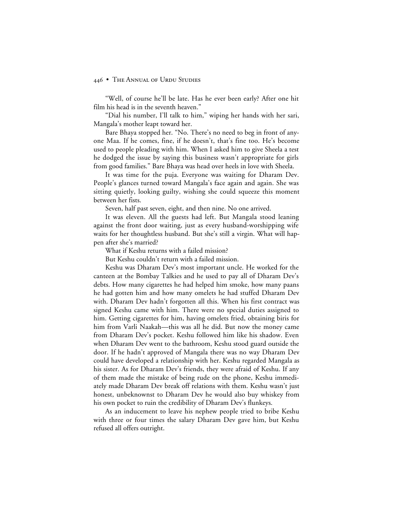"Well, of course he'll be late. Has he ever been early? After one hit film his head is in the seventh heaven."

"Dial his number, I'll talk to him," wiping her hands with her sari, Mangala's mother leapt toward her.

Bare Bhaya stopped her. "No. There's no need to beg in front of anyone Maa. If he comes, fine, if he doesn't, that's fine too. He's become used to people pleading with him. When I asked him to give Sheela a test he dodged the issue by saying this business wasn't appropriate for girls from good families." Bare Bhaya was head over heels in love with Sheela.

It was time for the puja. Everyone was waiting for Dharam Dev. People's glances turned toward Mangala's face again and again. She was sitting quietly, looking guilty, wishing she could squeeze this moment between her fists.

Seven, half past seven, eight, and then nine. No one arrived.

It was eleven. All the guests had left. But Mangala stood leaning against the front door waiting, just as every husband-worshipping wife waits for her thoughtless husband. But she's still a virgin. What will happen after she's married?

What if Keshu returns with a failed mission?

But Keshu couldn't return with a failed mission.

Keshu was Dharam Dev's most important uncle. He worked for the canteen at the Bombay Talkies and he used to pay all of Dharam Dev's debts. How many cigarettes he had helped him smoke, how many paans he had gotten him and how many omelets he had stuffed Dharam Dev with. Dharam Dev hadn't forgotten all this. When his first contract was signed Keshu came with him. There were no special duties assigned to him. Getting cigarettes for him, having omelets fried, obtaining biris for him from Varli Naakah—this was all he did. But now the money came from Dharam Dev's pocket. Keshu followed him like his shadow. Even when Dharam Dev went to the bathroom, Keshu stood guard outside the door. If he hadn't approved of Mangala there was no way Dharam Dev could have developed a relationship with her. Keshu regarded Mangala as his sister. As for Dharam Dev's friends, they were afraid of Keshu. If any of them made the mistake of being rude on the phone, Keshu immediately made Dharam Dev break off relations with them. Keshu wasn't just honest, unbeknownst to Dharam Dev he would also buy whiskey from his own pocket to ruin the credibility of Dharam Dev's flunkeys.

As an inducement to leave his nephew people tried to bribe Keshu with three or four times the salary Dharam Dev gave him, but Keshu refused all offers outright.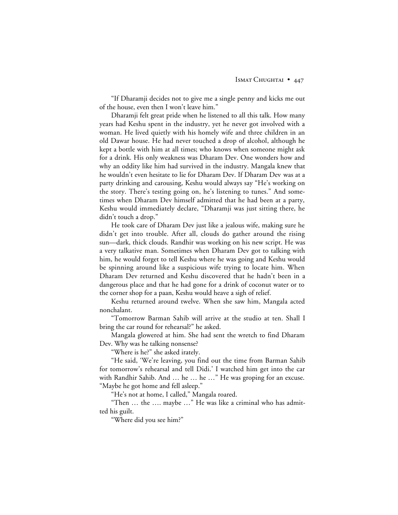"If Dharamji decides not to give me a single penny and kicks me out of the house, even then I won't leave him."

Dharamji felt great pride when he listened to all this talk. How many years had Keshu spent in the industry, yet he never got involved with a woman. He lived quietly with his homely wife and three children in an old Dawar house. He had never touched a drop of alcohol, although he kept a bottle with him at all times; who knows when someone might ask for a drink. His only weakness was Dharam Dev. One wonders how and why an oddity like him had survived in the industry. Mangala knew that he wouldn't even hesitate to lie for Dharam Dev. If Dharam Dev was at a party drinking and carousing, Keshu would always say "He's working on the story. There's testing going on, he's listening to tunes." And sometimes when Dharam Dev himself admitted that he had been at a party, Keshu would immediately declare, "Dharamji was just sitting there, he didn't touch a drop."

He took care of Dharam Dev just like a jealous wife, making sure he didn't get into trouble. After all, clouds do gather around the rising sun—dark, thick clouds. Randhir was working on his new script. He was a very talkative man. Sometimes when Dharam Dev got to talking with him, he would forget to tell Keshu where he was going and Keshu would be spinning around like a suspicious wife trying to locate him. When Dharam Dev returned and Keshu discovered that he hadn't been in a dangerous place and that he had gone for a drink of coconut water or to the corner shop for a paan, Keshu would heave a sigh of relief.

Keshu returned around twelve. When she saw him, Mangala acted nonchalant.

"Tomorrow Barman Sahib will arrive at the studio at ten. Shall I bring the car round for rehearsal?" he asked.

Mangala glowered at him. She had sent the wretch to find Dharam Dev. Why was he talking nonsense?

"Where is he?" she asked irately.

"He said, 'We're leaving, you find out the time from Barman Sahib for tomorrow's rehearsal and tell Didi.' I watched him get into the car with Randhir Sahib. And … he … he …" He was groping for an excuse. "Maybe he got home and fell asleep."

"He's not at home, I called," Mangala roared.

"Then … the …. maybe …" He was like a criminal who has admitted his guilt.

"Where did you see him?"